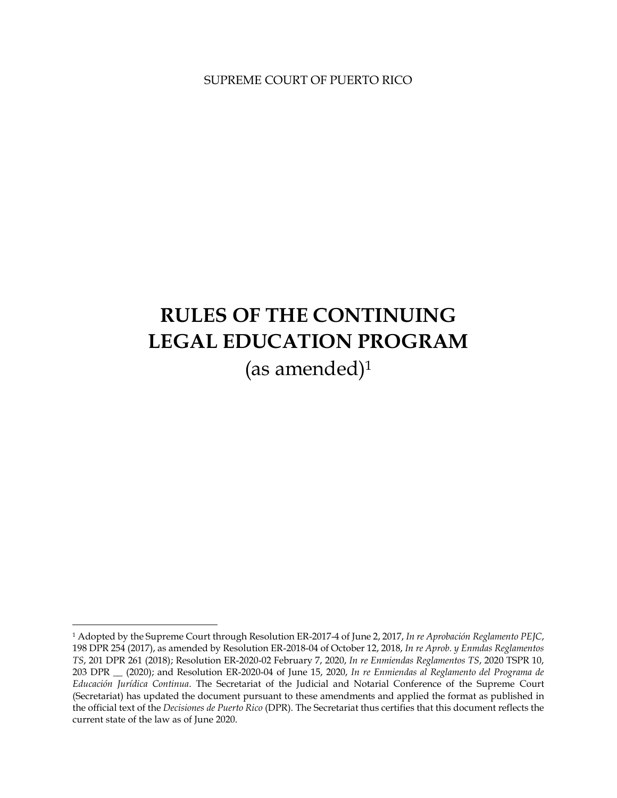SUPREME COURT OF PUERTO RICO

# **RULES OF THE CONTINUING LEGAL EDUCATION PROGRAM** (as amended)<sup>1</sup>

<sup>1</sup> Adopted by the Supreme Court through Resolution ER-2017-4 of June 2, 2017, *In re Aprobación Reglamento PEJC*, 198 DPR 254 (2017), as amended by Resolution ER-2018-04 of October 12, 2018, *In re Aprob. y Enmdas Reglamentos TS*, 201 DPR 261 (2018); Resolution ER-2020-02 February 7, 2020, *In re Enmiendas Reglamentos TS*, 2020 TSPR 10, 203 DPR \_\_ (2020); and Resolution ER-2020-04 of June 15, 2020, *In re Enmiendas al Reglamento del Programa de Educación Jurídica Continua*. The Secretariat of the Judicial and Notarial Conference of the Supreme Court (Secretariat) has updated the document pursuant to these amendments and applied the format as published in the official text of the *Decisiones de Puerto Rico* (DPR). The Secretariat thus certifies that this document reflects the current state of the law as of June 2020.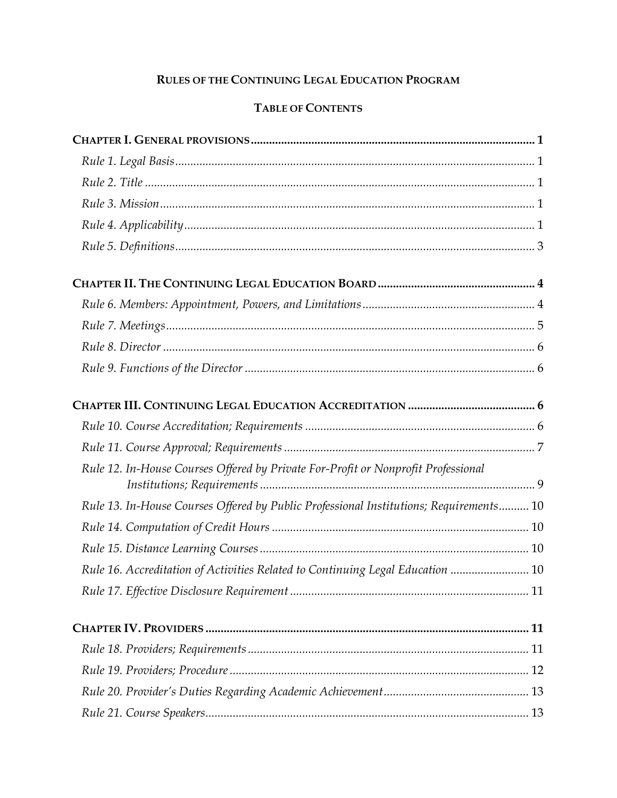# RULES OF THE CONTINUING LEGAL EDUCATION PROGRAM

# TABLE OF CONTENTS

| Rule 12. In-House Courses Offered by Private For-Profit or Nonprofit Professional      |
|----------------------------------------------------------------------------------------|
| Rule 13. In-House Courses Offered by Public Professional Institutions; Requirements 10 |
|                                                                                        |
|                                                                                        |
| Rule 16. Accreditation of Activities Related to Continuing Legal Education  10         |
|                                                                                        |
|                                                                                        |
|                                                                                        |
|                                                                                        |
|                                                                                        |
|                                                                                        |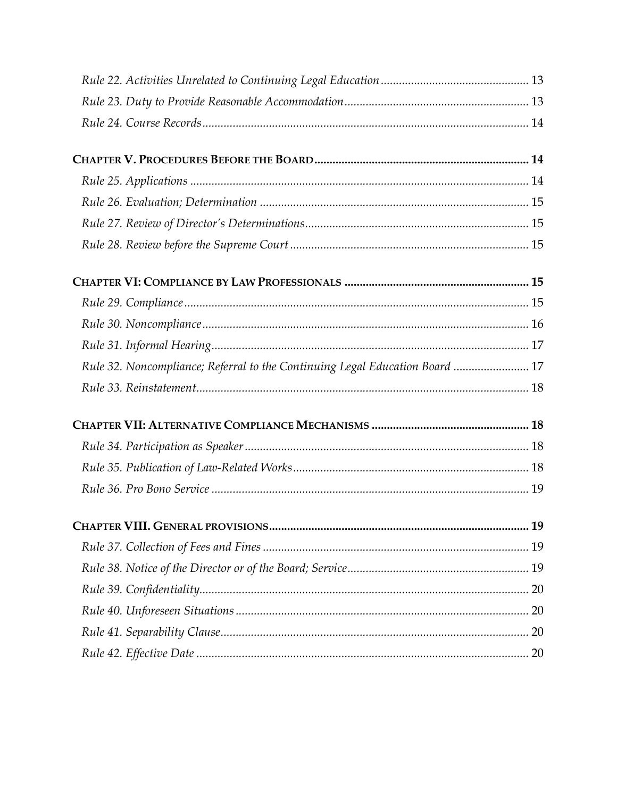| Rule 32. Noncompliance; Referral to the Continuing Legal Education Board  17 |  |
|------------------------------------------------------------------------------|--|
|                                                                              |  |
|                                                                              |  |
|                                                                              |  |
|                                                                              |  |
|                                                                              |  |
|                                                                              |  |
|                                                                              |  |
|                                                                              |  |
|                                                                              |  |
|                                                                              |  |
|                                                                              |  |
|                                                                              |  |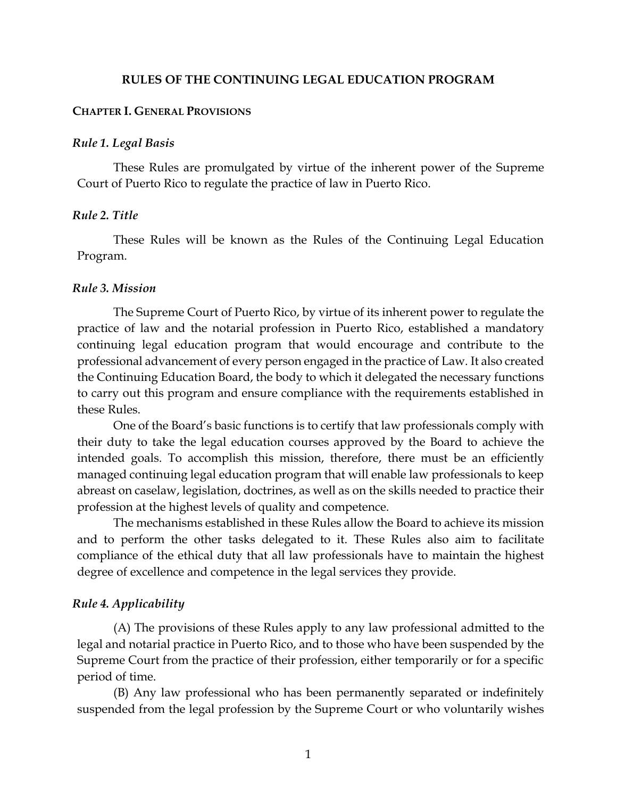#### **RULES OF THE CONTINUING LEGAL EDUCATION PROGRAM**

#### <span id="page-3-0"></span>**CHAPTER I. GENERAL PROVISIONS**

#### <span id="page-3-1"></span>*Rule 1. Legal Basis*

These Rules are promulgated by virtue of the inherent power of the Supreme Court of Puerto Rico to regulate the practice of law in Puerto Rico.

#### <span id="page-3-2"></span>*Rule 2. Title*

These Rules will be known as the Rules of the Continuing Legal Education Program.

#### <span id="page-3-3"></span>*Rule 3. Mission*

The Supreme Court of Puerto Rico, by virtue of its inherent power to regulate the practice of law and the notarial profession in Puerto Rico, established a mandatory continuing legal education program that would encourage and contribute to the professional advancement of every person engaged in the practice of Law. It also created the Continuing Education Board, the body to which it delegated the necessary functions to carry out this program and ensure compliance with the requirements established in these Rules.

One of the Board's basic functions is to certify that law professionals comply with their duty to take the legal education courses approved by the Board to achieve the intended goals. To accomplish this mission, therefore, there must be an efficiently managed continuing legal education program that will enable law professionals to keep abreast on caselaw, legislation, doctrines, as well as on the skills needed to practice their profession at the highest levels of quality and competence.

The mechanisms established in these Rules allow the Board to achieve its mission and to perform the other tasks delegated to it. These Rules also aim to facilitate compliance of the ethical duty that all law professionals have to maintain the highest degree of excellence and competence in the legal services they provide.

#### <span id="page-3-4"></span>*Rule 4. Applicability*

(A) The provisions of these Rules apply to any law professional admitted to the legal and notarial practice in Puerto Rico, and to those who have been suspended by the Supreme Court from the practice of their profession, either temporarily or for a specific period of time.

(B) Any law professional who has been permanently separated or indefinitely suspended from the legal profession by the Supreme Court or who voluntarily wishes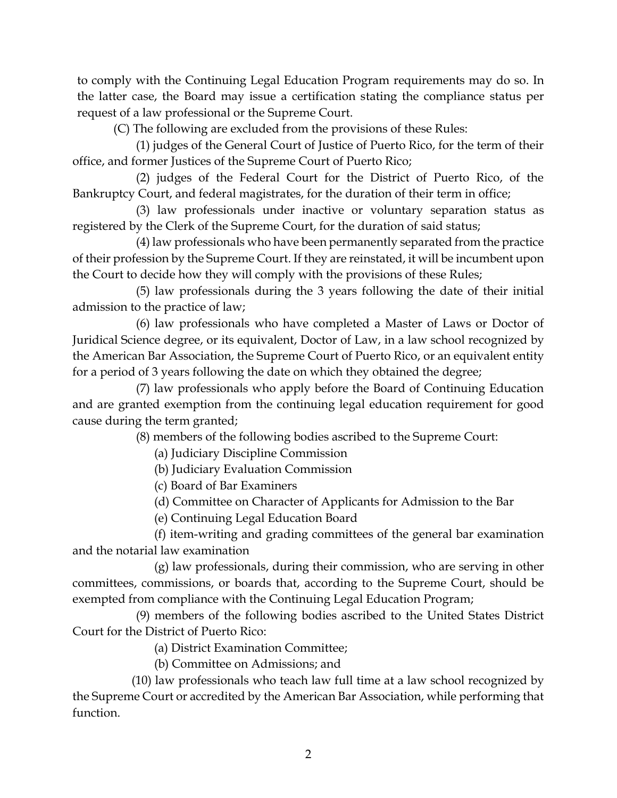to comply with the Continuing Legal Education Program requirements may do so. In the latter case, the Board may issue a certification stating the compliance status per request of a law professional or the Supreme Court.

(C) The following are excluded from the provisions of these Rules:

(1) judges of the General Court of Justice of Puerto Rico, for the term of their office, and former Justices of the Supreme Court of Puerto Rico;

(2) judges of the Federal Court for the District of Puerto Rico, of the Bankruptcy Court, and federal magistrates, for the duration of their term in office;

(3) law professionals under inactive or voluntary separation status as registered by the Clerk of the Supreme Court, for the duration of said status;

(4) law professionals who have been permanently separated from the practice of their profession by the Supreme Court. If they are reinstated, it will be incumbent upon the Court to decide how they will comply with the provisions of these Rules;

(5) law professionals during the 3 years following the date of their initial admission to the practice of law;

(6) law professionals who have completed a Master of Laws or Doctor of Juridical Science degree, or its equivalent, Doctor of Law, in a law school recognized by the American Bar Association, the Supreme Court of Puerto Rico, or an equivalent entity for a period of 3 years following the date on which they obtained the degree;

(7) law professionals who apply before the Board of Continuing Education and are granted exemption from the continuing legal education requirement for good cause during the term granted;

(8) members of the following bodies ascribed to the Supreme Court:

(a) Judiciary Discipline Commission

(b) Judiciary Evaluation Commission

(c) Board of Bar Examiners

(d) Committee on Character of Applicants for Admission to the Bar

(e) Continuing Legal Education Board

(f) item-writing and grading committees of the general bar examination and the notarial law examination

(g) law professionals, during their commission, who are serving in other committees, commissions, or boards that, according to the Supreme Court, should be exempted from compliance with the Continuing Legal Education Program;

(9) members of the following bodies ascribed to the United States District Court for the District of Puerto Rico:

(a) District Examination Committee;

(b) Committee on Admissions; and

(10) law professionals who teach law full time at a law school recognized by the Supreme Court or accredited by the American Bar Association, while performing that function.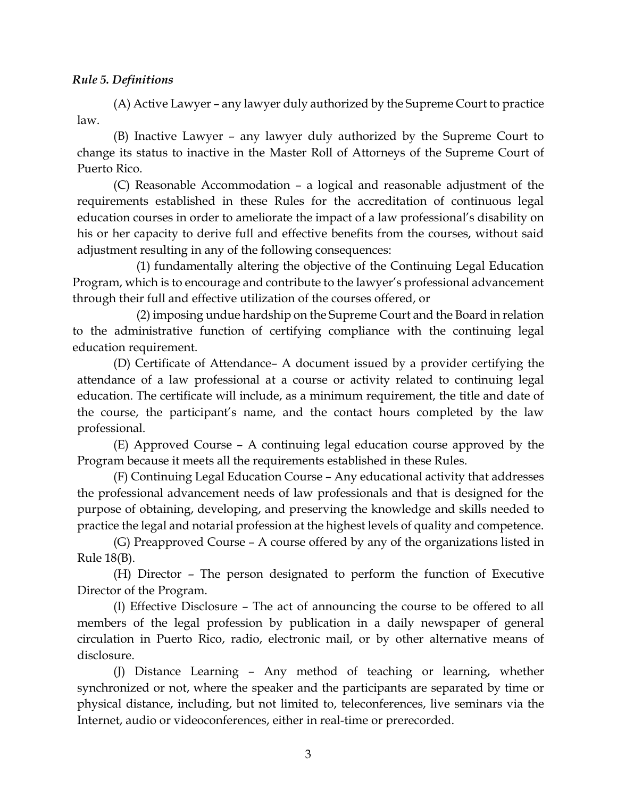## <span id="page-5-0"></span>*Rule 5. Definitions*

(A) Active Lawyer – any lawyer duly authorized by the Supreme Court to practice law.

(B) Inactive Lawyer – any lawyer duly authorized by the Supreme Court to change its status to inactive in the Master Roll of Attorneys of the Supreme Court of Puerto Rico.

(C) Reasonable Accommodation – a logical and reasonable adjustment of the requirements established in these Rules for the accreditation of continuous legal education courses in order to ameliorate the impact of a law professional's disability on his or her capacity to derive full and effective benefits from the courses, without said adjustment resulting in any of the following consequences:

(1) fundamentally altering the objective of the Continuing Legal Education Program, which is to encourage and contribute to the lawyer's professional advancement through their full and effective utilization of the courses offered, or

(2) imposing undue hardship on the Supreme Court and the Board in relation to the administrative function of certifying compliance with the continuing legal education requirement.

(D) Certificate of Attendance– A document issued by a provider certifying the attendance of a law professional at a course or activity related to continuing legal education. The certificate will include, as a minimum requirement, the title and date of the course, the participant's name, and the contact hours completed by the law professional.

(E) Approved Course – A continuing legal education course approved by the Program because it meets all the requirements established in these Rules.

(F) Continuing Legal Education Course – Any educational activity that addresses the professional advancement needs of law professionals and that is designed for the purpose of obtaining, developing, and preserving the knowledge and skills needed to practice the legal and notarial profession at the highest levels of quality and competence.

(G) Preapproved Course – A course offered by any of the organizations listed in Rule 18(B).

(H) Director – The person designated to perform the function of Executive Director of the Program.

(I) Effective Disclosure – The act of announcing the course to be offered to all members of the legal profession by publication in a daily newspaper of general circulation in Puerto Rico, radio, electronic mail, or by other alternative means of disclosure.

(J) Distance Learning – Any method of teaching or learning, whether synchronized or not, where the speaker and the participants are separated by time or physical distance, including, but not limited to, teleconferences, live seminars via the Internet, audio or videoconferences, either in real-time or prerecorded.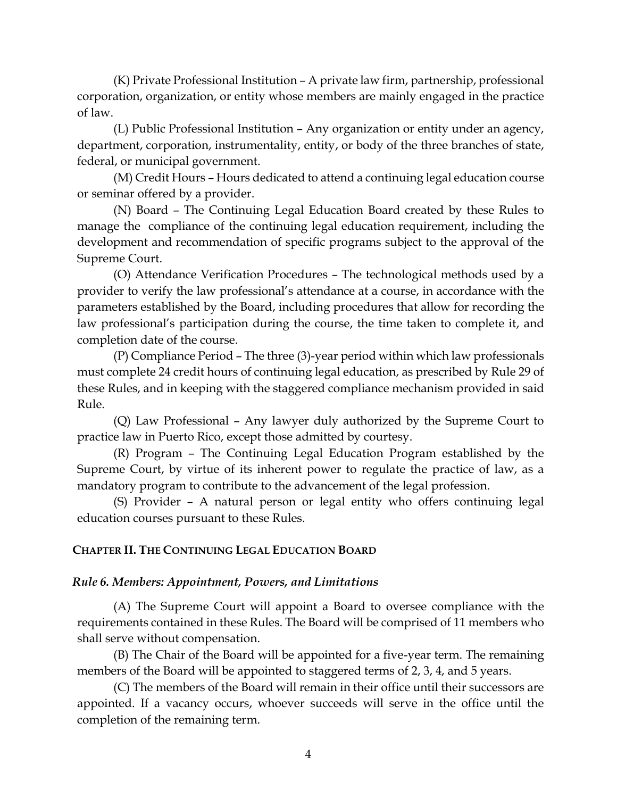(K) Private Professional Institution – A private law firm, partnership, professional corporation, organization, or entity whose members are mainly engaged in the practice of law.

(L) Public Professional Institution – Any organization or entity under an agency, department, corporation, instrumentality, entity, or body of the three branches of state, federal, or municipal government.

(M) Credit Hours – Hours dedicated to attend a continuing legal education course or seminar offered by a provider.

(N) Board – The Continuing Legal Education Board created by these Rules to manage the compliance of the continuing legal education requirement, including the development and recommendation of specific programs subject to the approval of the Supreme Court.

(O) Attendance Verification Procedures – The technological methods used by a provider to verify the law professional's attendance at a course, in accordance with the parameters established by the Board, including procedures that allow for recording the law professional's participation during the course, the time taken to complete it, and completion date of the course.

(P) Compliance Period – The three (3)-year period within which law professionals must complete 24 credit hours of continuing legal education, as prescribed by Rule 29 of these Rules, and in keeping with the staggered compliance mechanism provided in said Rule.

(Q) Law Professional – Any lawyer duly authorized by the Supreme Court to practice law in Puerto Rico, except those admitted by courtesy.

(R) Program – The Continuing Legal Education Program established by the Supreme Court, by virtue of its inherent power to regulate the practice of law, as a mandatory program to contribute to the advancement of the legal profession.

(S) Provider – A natural person or legal entity who offers continuing legal education courses pursuant to these Rules.

## <span id="page-6-0"></span>**CHAPTER II. THE CONTINUING LEGAL EDUCATION BOARD**

## <span id="page-6-1"></span>*Rule 6. Members: Appointment, Powers, and Limitations*

(A) The Supreme Court will appoint a Board to oversee compliance with the requirements contained in these Rules. The Board will be comprised of 11 members who shall serve without compensation.

(B) The Chair of the Board will be appointed for a five-year term. The remaining members of the Board will be appointed to staggered terms of 2, 3, 4, and 5 years.

(C) The members of the Board will remain in their office until their successors are appointed. If a vacancy occurs, whoever succeeds will serve in the office until the completion of the remaining term.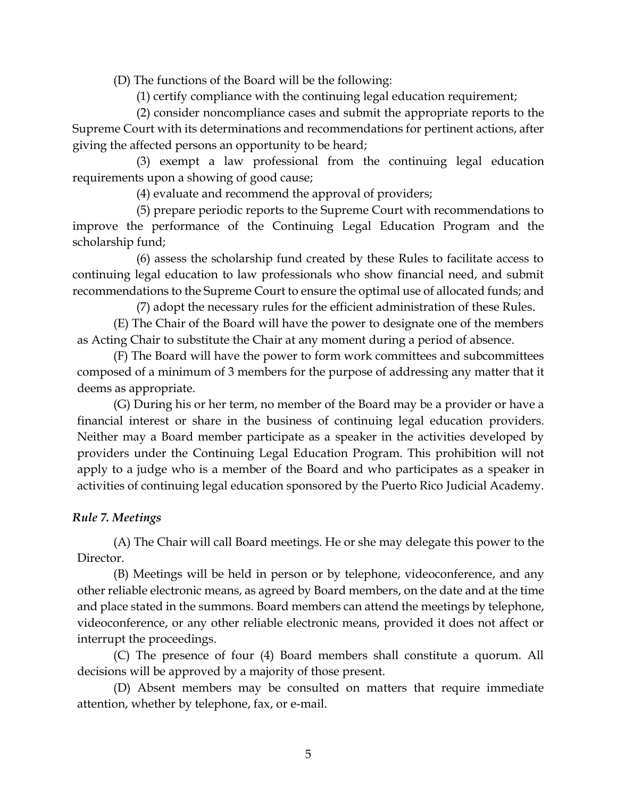(D) The functions of the Board will be the following:

(1) certify compliance with the continuing legal education requirement;

(2) consider noncompliance cases and submit the appropriate reports to the Supreme Court with its determinations and recommendations for pertinent actions, after giving the affected persons an opportunity to be heard;

(3) exempt a law professional from the continuing legal education requirements upon a showing of good cause;

(4) evaluate and recommend the approval of providers;

(5) prepare periodic reports to the Supreme Court with recommendations to improve the performance of the Continuing Legal Education Program and the scholarship fund;

(6) assess the scholarship fund created by these Rules to facilitate access to continuing legal education to law professionals who show financial need, and submit recommendations to the Supreme Court to ensure the optimal use of allocated funds; and

(7) adopt the necessary rules for the efficient administration of these Rules.

(E) The Chair of the Board will have the power to designate one of the members as Acting Chair to substitute the Chair at any moment during a period of absence.

(F) The Board will have the power to form work committees and subcommittees composed of a minimum of 3 members for the purpose of addressing any matter that it deems as appropriate.

(G) During his or her term, no member of the Board may be a provider or have a financial interest or share in the business of continuing legal education providers. Neither may a Board member participate as a speaker in the activities developed by providers under the Continuing Legal Education Program. This prohibition will not apply to a judge who is a member of the Board and who participates as a speaker in activities of continuing legal education sponsored by the Puerto Rico Judicial Academy.

# <span id="page-7-0"></span>*Rule 7. Meetings*

(A) The Chair will call Board meetings. He or she may delegate this power to the Director.

(B) Meetings will be held in person or by telephone, videoconference, and any other reliable electronic means, as agreed by Board members, on the date and at the time and place stated in the summons. Board members can attend the meetings by telephone, videoconference, or any other reliable electronic means, provided it does not affect or interrupt the proceedings.

(C) The presence of four (4) Board members shall constitute a quorum. All decisions will be approved by a majority of those present.

(D) Absent members may be consulted on matters that require immediate attention, whether by telephone, fax, or e-mail.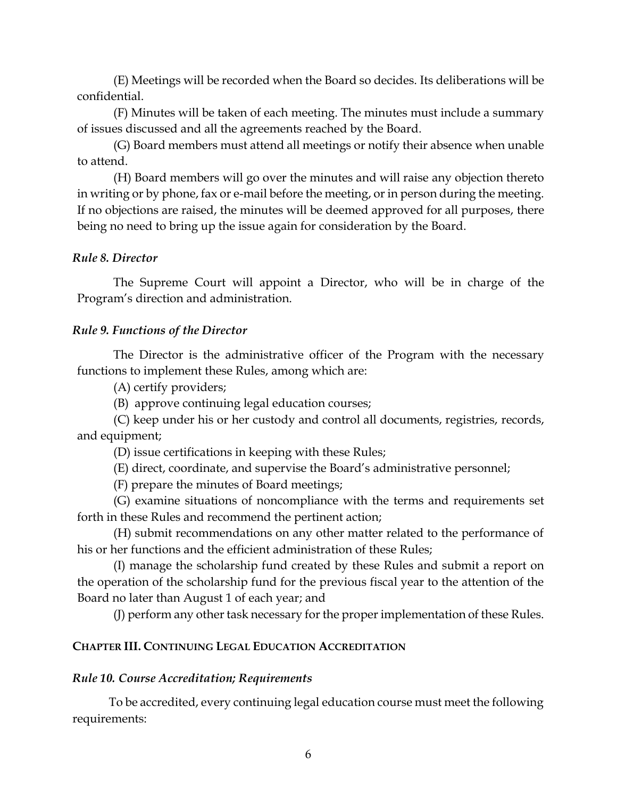(E) Meetings will be recorded when the Board so decides. Its deliberations will be confidential.

(F) Minutes will be taken of each meeting. The minutes must include a summary of issues discussed and all the agreements reached by the Board.

(G) Board members must attend all meetings or notify their absence when unable to attend.

(H) Board members will go over the minutes and will raise any objection thereto in writing or by phone, fax or e-mail before the meeting, or in person during the meeting. If no objections are raised, the minutes will be deemed approved for all purposes, there being no need to bring up the issue again for consideration by the Board.

## <span id="page-8-0"></span>*Rule 8. Director*

The Supreme Court will appoint a Director, who will be in charge of the Program's direction and administration.

## <span id="page-8-1"></span>*Rule 9. Functions of the Director*

The Director is the administrative officer of the Program with the necessary functions to implement these Rules, among which are:

(A) certify providers;

(B) approve continuing legal education courses;

(C) keep under his or her custody and control all documents, registries, records, and equipment;

(D) issue certifications in keeping with these Rules;

(E) direct, coordinate, and supervise the Board's administrative personnel;

(F) prepare the minutes of Board meetings;

(G) examine situations of noncompliance with the terms and requirements set forth in these Rules and recommend the pertinent action;

(H) submit recommendations on any other matter related to the performance of his or her functions and the efficient administration of these Rules;

(I) manage the scholarship fund created by these Rules and submit a report on the operation of the scholarship fund for the previous fiscal year to the attention of the Board no later than August 1 of each year; and

(J) perform any other task necessary for the proper implementation of these Rules.

## <span id="page-8-2"></span>**CHAPTER III. CONTINUING LEGAL EDUCATION ACCREDITATION**

## <span id="page-8-3"></span>*Rule 10. Course Accreditation; Requirements*

To be accredited, every continuing legal education course must meet the following requirements: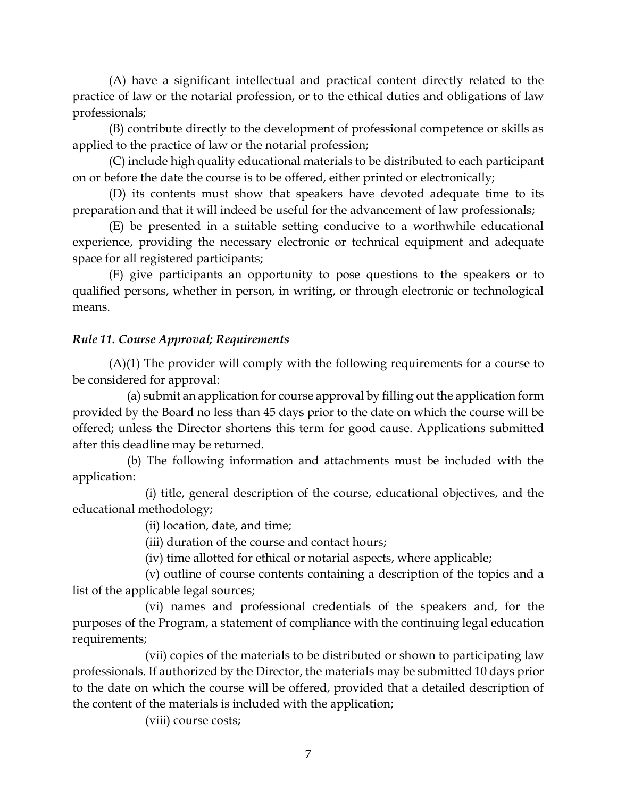(A) have a significant intellectual and practical content directly related to the practice of law or the notarial profession, or to the ethical duties and obligations of law professionals;

(B) contribute directly to the development of professional competence or skills as applied to the practice of law or the notarial profession;

(C) include high quality educational materials to be distributed to each participant on or before the date the course is to be offered, either printed or electronically;

(D) its contents must show that speakers have devoted adequate time to its preparation and that it will indeed be useful for the advancement of law professionals;

(E) be presented in a suitable setting conducive to a worthwhile educational experience, providing the necessary electronic or technical equipment and adequate space for all registered participants;

(F) give participants an opportunity to pose questions to the speakers or to qualified persons, whether in person, in writing, or through electronic or technological means.

## <span id="page-9-0"></span>*Rule 11. Course Approval; Requirements*

(A)(1) The provider will comply with the following requirements for a course to be considered for approval:

(a) submit an application for course approval by filling out the application form provided by the Board no less than 45 days prior to the date on which the course will be offered; unless the Director shortens this term for good cause. Applications submitted after this deadline may be returned.

(b) The following information and attachments must be included with the application:

(i) title, general description of the course, educational objectives, and the educational methodology;

(ii) location, date, and time;

(iii) duration of the course and contact hours;

(iv) time allotted for ethical or notarial aspects, where applicable;

(v) outline of course contents containing a description of the topics and a list of the applicable legal sources;

(vi) names and professional credentials of the speakers and, for the purposes of the Program, a statement of compliance with the continuing legal education requirements;

(vii) copies of the materials to be distributed or shown to participating law professionals. If authorized by the Director, the materials may be submitted 10 days prior to the date on which the course will be offered, provided that a detailed description of the content of the materials is included with the application;

(viii) course costs;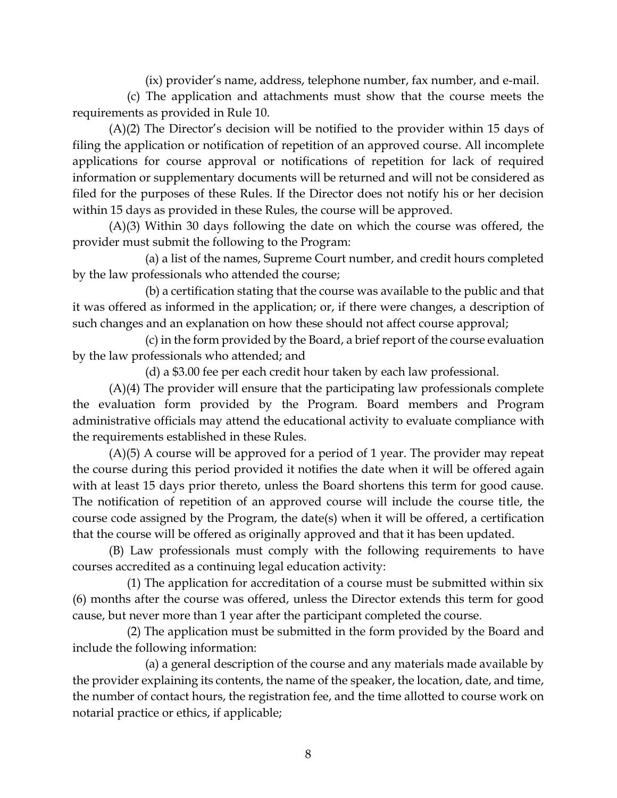(ix) provider's name, address, telephone number, fax number, and e-mail.

(c) The application and attachments must show that the course meets the requirements as provided in Rule 10.

(A)(2) The Director's decision will be notified to the provider within 15 days of filing the application or notification of repetition of an approved course. All incomplete applications for course approval or notifications of repetition for lack of required information or supplementary documents will be returned and will not be considered as filed for the purposes of these Rules. If the Director does not notify his or her decision within 15 days as provided in these Rules, the course will be approved.

(A)(3) Within 30 days following the date on which the course was offered, the provider must submit the following to the Program:

(a) a list of the names, Supreme Court number, and credit hours completed by the law professionals who attended the course;

(b) a certification stating that the course was available to the public and that it was offered as informed in the application; or, if there were changes, a description of such changes and an explanation on how these should not affect course approval;

(c) in the form provided by the Board, a brief report of the course evaluation by the law professionals who attended; and

(d) a \$3.00 fee per each credit hour taken by each law professional.

(A)(4) The provider will ensure that the participating law professionals complete the evaluation form provided by the Program. Board members and Program administrative officials may attend the educational activity to evaluate compliance with the requirements established in these Rules.

(A)(5) A course will be approved for a period of 1 year. The provider may repeat the course during this period provided it notifies the date when it will be offered again with at least 15 days prior thereto, unless the Board shortens this term for good cause. The notification of repetition of an approved course will include the course title, the course code assigned by the Program, the date(s) when it will be offered, a certification that the course will be offered as originally approved and that it has been updated.

(B) Law professionals must comply with the following requirements to have courses accredited as a continuing legal education activity:

(1) The application for accreditation of a course must be submitted within six (6) months after the course was offered, unless the Director extends this term for good cause, but never more than 1 year after the participant completed the course.

(2) The application must be submitted in the form provided by the Board and include the following information:

(a) a general description of the course and any materials made available by the provider explaining its contents, the name of the speaker, the location, date, and time, the number of contact hours, the registration fee, and the time allotted to course work on notarial practice or ethics, if applicable;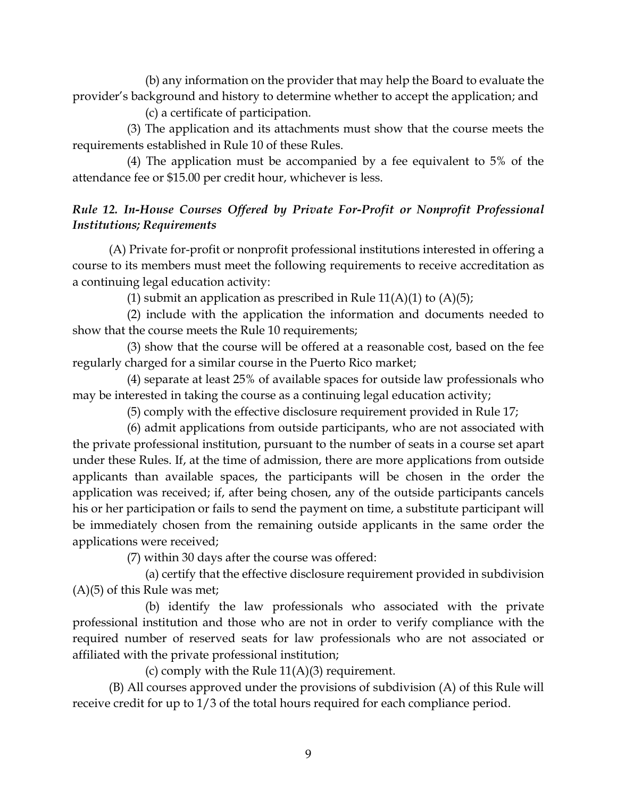(b) any information on the provider that may help the Board to evaluate the provider's background and history to determine whether to accept the application; and

(c) a certificate of participation.

(3) The application and its attachments must show that the course meets the requirements established in Rule 10 of these Rules.

(4) The application must be accompanied by a fee equivalent to 5% of the attendance fee or \$15.00 per credit hour, whichever is less.

# <span id="page-11-0"></span>*Rule 12. In-House Courses Offered by Private For-Profit or Nonprofit Professional Institutions; Requirements*

(A) Private for-profit or nonprofit professional institutions interested in offering a course to its members must meet the following requirements to receive accreditation as a continuing legal education activity:

(1) submit an application as prescribed in Rule  $11(A)(1)$  to  $(A)(5)$ ;

(2) include with the application the information and documents needed to show that the course meets the Rule 10 requirements;

(3) show that the course will be offered at a reasonable cost, based on the fee regularly charged for a similar course in the Puerto Rico market;

(4) separate at least 25% of available spaces for outside law professionals who may be interested in taking the course as a continuing legal education activity;

(5) comply with the effective disclosure requirement provided in Rule 17;

(6) admit applications from outside participants, who are not associated with the private professional institution, pursuant to the number of seats in a course set apart under these Rules. If, at the time of admission, there are more applications from outside applicants than available spaces, the participants will be chosen in the order the application was received; if, after being chosen, any of the outside participants cancels his or her participation or fails to send the payment on time, a substitute participant will be immediately chosen from the remaining outside applicants in the same order the applications were received;

(7) within 30 days after the course was offered:

(a) certify that the effective disclosure requirement provided in subdivision  $(A)(5)$  of this Rule was met;

(b) identify the law professionals who associated with the private professional institution and those who are not in order to verify compliance with the required number of reserved seats for law professionals who are not associated or affiliated with the private professional institution;

(c) comply with the Rule  $11(A)(3)$  requirement.

(B) All courses approved under the provisions of subdivision (A) of this Rule will receive credit for up to 1/3 of the total hours required for each compliance period.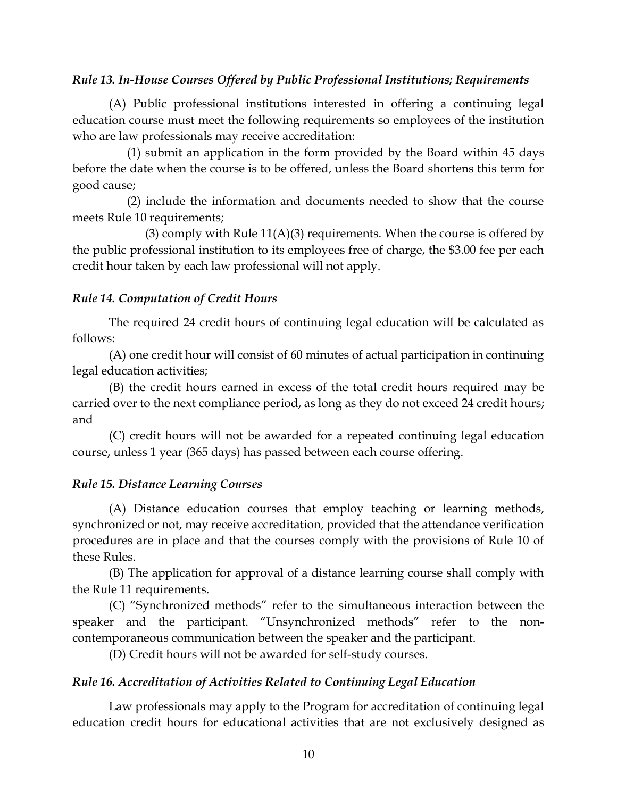## <span id="page-12-0"></span>*Rule 13. In-House Courses Offered by Public Professional Institutions; Requirements*

(A) Public professional institutions interested in offering a continuing legal education course must meet the following requirements so employees of the institution who are law professionals may receive accreditation:

(1) submit an application in the form provided by the Board within 45 days before the date when the course is to be offered, unless the Board shortens this term for good cause;

(2) include the information and documents needed to show that the course meets Rule 10 requirements;

(3) comply with Rule  $11(A)(3)$  requirements. When the course is offered by the public professional institution to its employees free of charge, the \$3.00 fee per each credit hour taken by each law professional will not apply.

# <span id="page-12-1"></span>*Rule 14. Computation of Credit Hours*

The required 24 credit hours of continuing legal education will be calculated as follows:

(A) one credit hour will consist of 60 minutes of actual participation in continuing legal education activities;

(B) the credit hours earned in excess of the total credit hours required may be carried over to the next compliance period, as long as they do not exceed 24 credit hours; and

(C) credit hours will not be awarded for a repeated continuing legal education course, unless 1 year (365 days) has passed between each course offering.

# <span id="page-12-2"></span>*Rule 15. Distance Learning Courses*

(A) Distance education courses that employ teaching or learning methods, synchronized or not, may receive accreditation, provided that the attendance verification procedures are in place and that the courses comply with the provisions of Rule 10 of these Rules.

(B) The application for approval of a distance learning course shall comply with the Rule 11 requirements.

(C) "Synchronized methods" refer to the simultaneous interaction between the speaker and the participant. "Unsynchronized methods" refer to the noncontemporaneous communication between the speaker and the participant.

(D) Credit hours will not be awarded for self-study courses.

# <span id="page-12-3"></span>*Rule 16. Accreditation of Activities Related to Continuing Legal Education*

Law professionals may apply to the Program for accreditation of continuing legal education credit hours for educational activities that are not exclusively designed as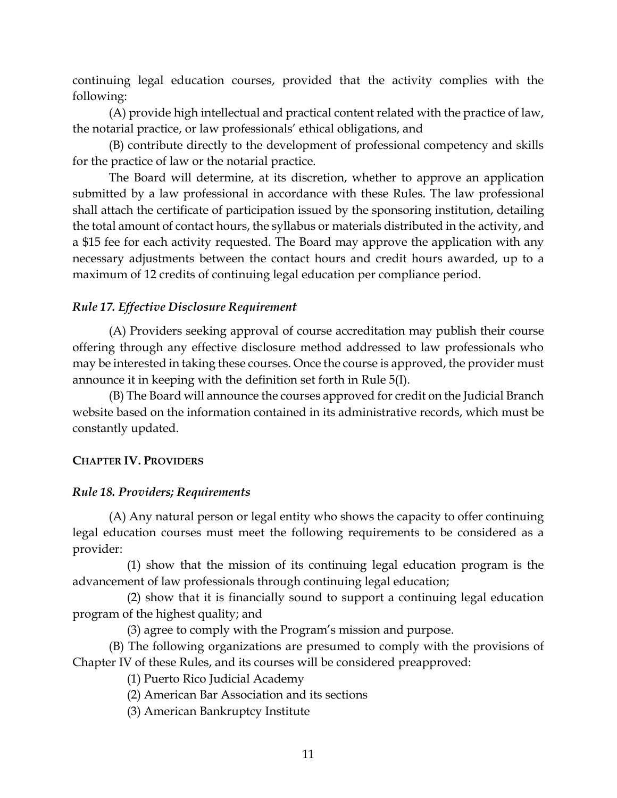continuing legal education courses, provided that the activity complies with the following:

(A) provide high intellectual and practical content related with the practice of law, the notarial practice, or law professionals' ethical obligations, and

(B) contribute directly to the development of professional competency and skills for the practice of law or the notarial practice.

The Board will determine, at its discretion, whether to approve an application submitted by a law professional in accordance with these Rules. The law professional shall attach the certificate of participation issued by the sponsoring institution, detailing the total amount of contact hours, the syllabus or materials distributed in the activity, and a \$15 fee for each activity requested. The Board may approve the application with any necessary adjustments between the contact hours and credit hours awarded, up to a maximum of 12 credits of continuing legal education per compliance period.

## <span id="page-13-0"></span>*Rule 17. Effective Disclosure Requirement*

(A) Providers seeking approval of course accreditation may publish their course offering through any effective disclosure method addressed to law professionals who may be interested in taking these courses. Once the course is approved, the provider must announce it in keeping with the definition set forth in Rule 5(I).

(B) The Board will announce the courses approved for credit on the Judicial Branch website based on the information contained in its administrative records, which must be constantly updated.

## <span id="page-13-1"></span>**CHAPTER IV. PROVIDERS**

## <span id="page-13-2"></span>*Rule 18. Providers; Requirements*

(A) Any natural person or legal entity who shows the capacity to offer continuing legal education courses must meet the following requirements to be considered as a provider:

(1) show that the mission of its continuing legal education program is the advancement of law professionals through continuing legal education;

(2) show that it is financially sound to support a continuing legal education program of the highest quality; and

(3) agree to comply with the Program's mission and purpose.

(B) The following organizations are presumed to comply with the provisions of Chapter IV of these Rules, and its courses will be considered preapproved:

(1) Puerto Rico Judicial Academy

(2) American Bar Association and its sections

(3) American Bankruptcy Institute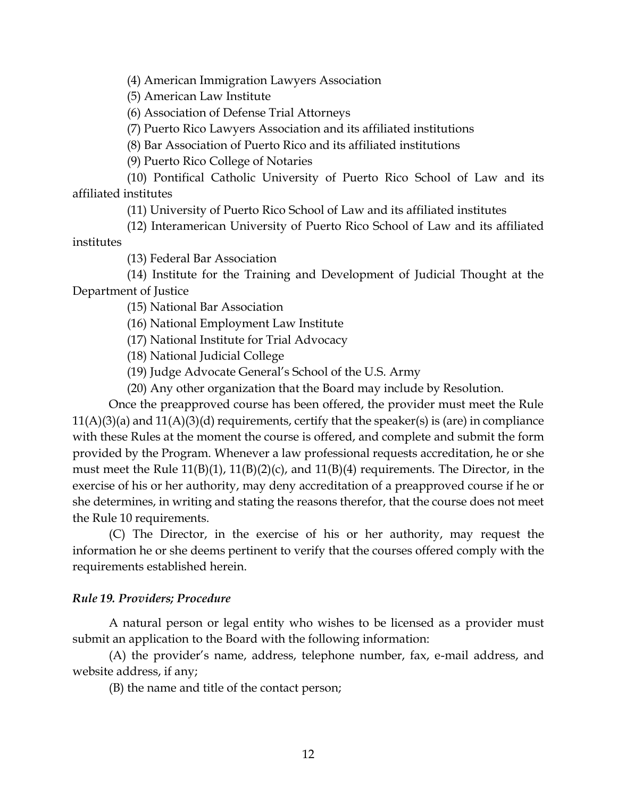(4) American Immigration Lawyers Association

(5) American Law Institute

(6) Association of Defense Trial Attorneys

(7) Puerto Rico Lawyers Association and its affiliated institutions

(8) Bar Association of Puerto Rico and its affiliated institutions

(9) Puerto Rico College of Notaries

(10) Pontifical Catholic University of Puerto Rico School of Law and its affiliated institutes

(11) University of Puerto Rico School of Law and its affiliated institutes

(12) Interamerican University of Puerto Rico School of Law and its affiliated institutes

(13) Federal Bar Association

(14) Institute for the Training and Development of Judicial Thought at the Department of Justice

(15) National Bar Association

(16) National Employment Law Institute

(17) National Institute for Trial Advocacy

(18) National Judicial College

(19) Judge Advocate General's School of the U.S. Army

(20) Any other organization that the Board may include by Resolution.

Once the preapproved course has been offered, the provider must meet the Rule  $11(A)(3)(a)$  and  $11(A)(3)(d)$  requirements, certify that the speaker(s) is (are) in compliance with these Rules at the moment the course is offered, and complete and submit the form provided by the Program. Whenever a law professional requests accreditation, he or she must meet the Rule 11(B)(1), 11(B)(2)(c), and 11(B)(4) requirements. The Director, in the exercise of his or her authority, may deny accreditation of a preapproved course if he or she determines, in writing and stating the reasons therefor, that the course does not meet the Rule 10 requirements.

(C) The Director, in the exercise of his or her authority, may request the information he or she deems pertinent to verify that the courses offered comply with the requirements established herein.

## <span id="page-14-0"></span>*Rule 19. Providers; Procedure*

A natural person or legal entity who wishes to be licensed as a provider must submit an application to the Board with the following information:

(A) the provider's name, address, telephone number, fax, e-mail address, and website address, if any;

(B) the name and title of the contact person;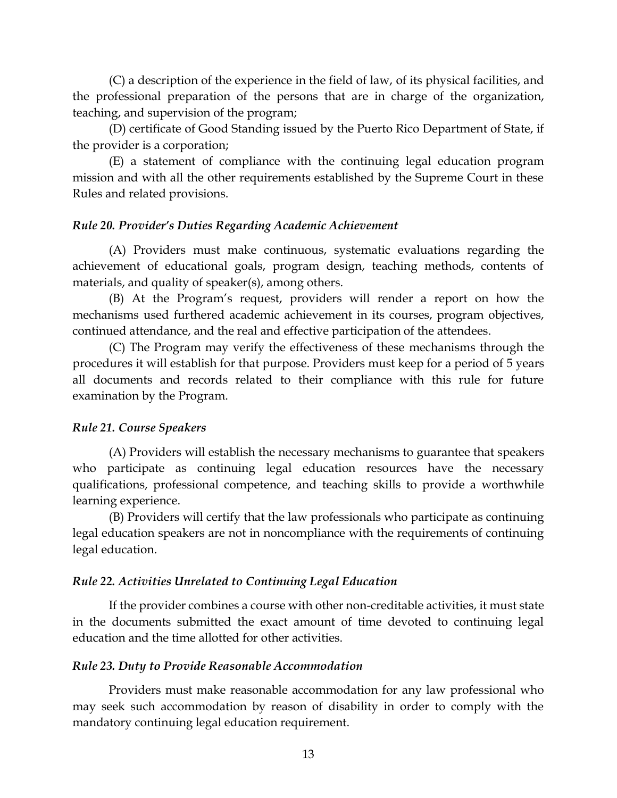(C) a description of the experience in the field of law, of its physical facilities, and the professional preparation of the persons that are in charge of the organization, teaching, and supervision of the program;

(D) certificate of Good Standing issued by the Puerto Rico Department of State, if the provider is a corporation;

(E) a statement of compliance with the continuing legal education program mission and with all the other requirements established by the Supreme Court in these Rules and related provisions.

## <span id="page-15-0"></span>*Rule 20. Provider's Duties Regarding Academic Achievement*

(A) Providers must make continuous, systematic evaluations regarding the achievement of educational goals, program design, teaching methods, contents of materials, and quality of speaker(s), among others.

(B) At the Program's request, providers will render a report on how the mechanisms used furthered academic achievement in its courses, program objectives, continued attendance, and the real and effective participation of the attendees.

(C) The Program may verify the effectiveness of these mechanisms through the procedures it will establish for that purpose. Providers must keep for a period of 5 years all documents and records related to their compliance with this rule for future examination by the Program.

## <span id="page-15-1"></span>*Rule 21. Course Speakers*

(A) Providers will establish the necessary mechanisms to guarantee that speakers who participate as continuing legal education resources have the necessary qualifications, professional competence, and teaching skills to provide a worthwhile learning experience.

(B) Providers will certify that the law professionals who participate as continuing legal education speakers are not in noncompliance with the requirements of continuing legal education.

## <span id="page-15-2"></span>*Rule 22. Activities Unrelated to Continuing Legal Education*

If the provider combines a course with other non-creditable activities, it must state in the documents submitted the exact amount of time devoted to continuing legal education and the time allotted for other activities.

#### <span id="page-15-3"></span>*Rule 23. Duty to Provide Reasonable Accommodation*

Providers must make reasonable accommodation for any law professional who may seek such accommodation by reason of disability in order to comply with the mandatory continuing legal education requirement.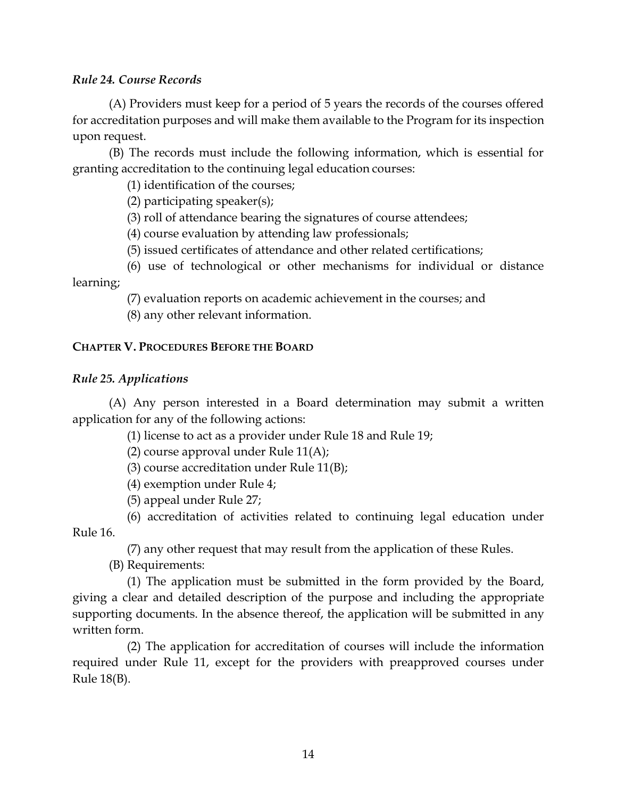## <span id="page-16-0"></span>*Rule 24. Course Records*

(A) Providers must keep for a period of 5 years the records of the courses offered for accreditation purposes and will make them available to the Program for its inspection upon request.

(B) The records must include the following information, which is essential for granting accreditation to the continuing legal education courses:

(1) identification of the courses;

(2) participating speaker(s);

(3) roll of attendance bearing the signatures of course attendees;

(4) course evaluation by attending law professionals;

(5) issued certificates of attendance and other related certifications;

(6) use of technological or other mechanisms for individual or distance learning;

(7) evaluation reports on academic achievement in the courses; and

(8) any other relevant information.

# <span id="page-16-1"></span>**CHAPTER V. PROCEDURES BEFORE THE BOARD**

# <span id="page-16-2"></span>*Rule 25. Applications*

(A) Any person interested in a Board determination may submit a written application for any of the following actions:

(1) license to act as a provider under Rule 18 and Rule 19;

(2) course approval under Rule  $11(A)$ ;

(3) course accreditation under Rule 11(B);

(4) exemption under Rule 4;

(5) appeal under Rule 27;

(6) accreditation of activities related to continuing legal education under Rule 16.

(7) any other request that may result from the application of these Rules.

(B) Requirements:

(1) The application must be submitted in the form provided by the Board, giving a clear and detailed description of the purpose and including the appropriate supporting documents. In the absence thereof, the application will be submitted in any written form.

(2) The application for accreditation of courses will include the information required under Rule 11, except for the providers with preapproved courses under Rule 18(B).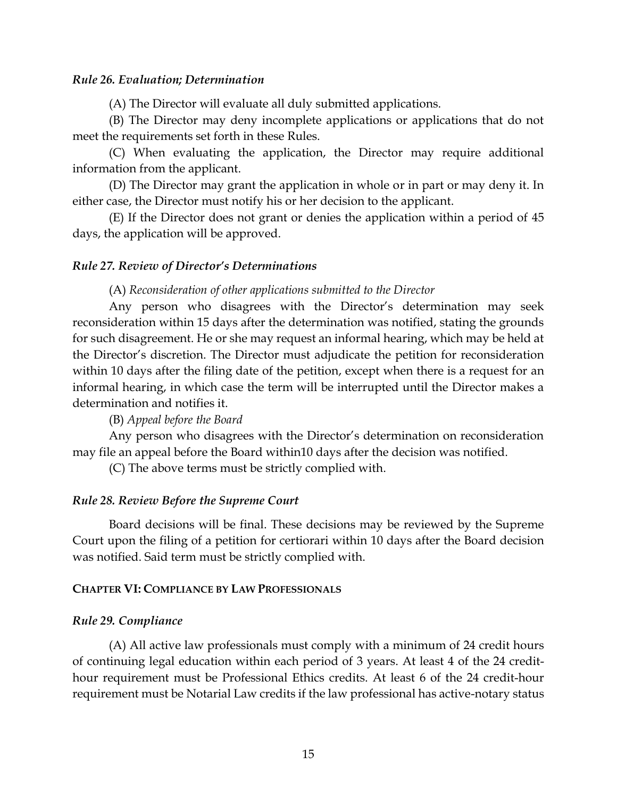#### <span id="page-17-0"></span>*Rule 26. Evaluation; Determination*

(A) The Director will evaluate all duly submitted applications.

(B) The Director may deny incomplete applications or applications that do not meet the requirements set forth in these Rules.

(C) When evaluating the application, the Director may require additional information from the applicant.

(D) The Director may grant the application in whole or in part or may deny it. In either case, the Director must notify his or her decision to the applicant.

(E) If the Director does not grant or denies the application within a period of 45 days, the application will be approved.

#### <span id="page-17-1"></span>*Rule 27. Review of Director's Determinations*

#### (A) *Reconsideration of other applications submitted to the Director*

Any person who disagrees with the Director's determination may seek reconsideration within 15 days after the determination was notified, stating the grounds for such disagreement. He or she may request an informal hearing, which may be held at the Director's discretion. The Director must adjudicate the petition for reconsideration within 10 days after the filing date of the petition, except when there is a request for an informal hearing, in which case the term will be interrupted until the Director makes a determination and notifies it.

#### (B) *Appeal before the Board*

Any person who disagrees with the Director's determination on reconsideration may file an appeal before the Board within10 days after the decision was notified.

(C) The above terms must be strictly complied with.

#### <span id="page-17-2"></span>*Rule 28. Review Before the Supreme Court*

Board decisions will be final. These decisions may be reviewed by the Supreme Court upon the filing of a petition for certiorari within 10 days after the Board decision was notified. Said term must be strictly complied with.

#### <span id="page-17-3"></span>**CHAPTER VI: COMPLIANCE BY LAW PROFESSIONALS**

#### <span id="page-17-4"></span>*Rule 29. Compliance*

(A) All active law professionals must comply with a minimum of 24 credit hours of continuing legal education within each period of 3 years. At least 4 of the 24 credithour requirement must be Professional Ethics credits. At least 6 of the 24 credit-hour requirement must be Notarial Law credits if the law professional has active-notary status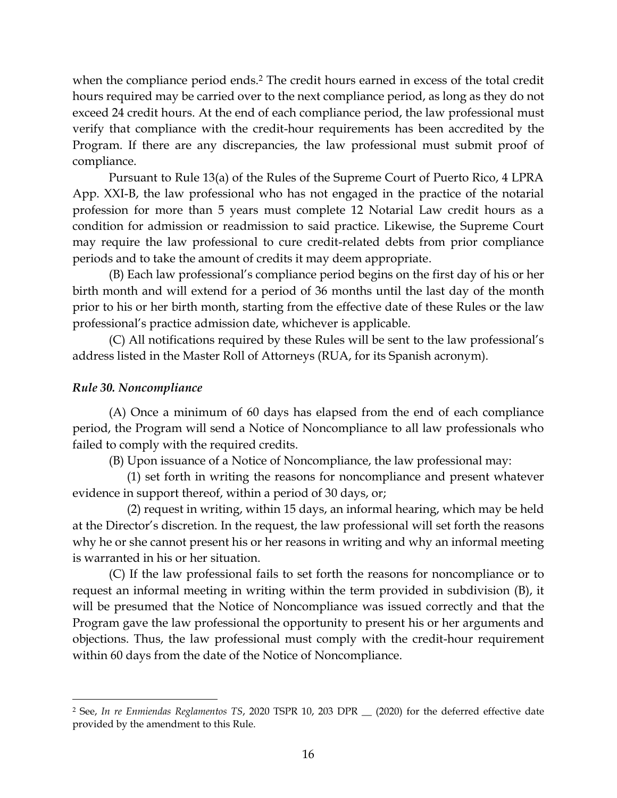when the compliance period ends.<sup>2</sup> The credit hours earned in excess of the total credit hours required may be carried over to the next compliance period, as long as they do not exceed 24 credit hours. At the end of each compliance period, the law professional must verify that compliance with the credit-hour requirements has been accredited by the Program. If there are any discrepancies, the law professional must submit proof of compliance.

Pursuant to Rule 13(a) of the Rules of the Supreme Court of Puerto Rico, 4 LPRA App. XXI-B, the law professional who has not engaged in the practice of the notarial profession for more than 5 years must complete 12 Notarial Law credit hours as a condition for admission or readmission to said practice. Likewise, the Supreme Court may require the law professional to cure credit-related debts from prior compliance periods and to take the amount of credits it may deem appropriate.

(B) Each law professional's compliance period begins on the first day of his or her birth month and will extend for a period of 36 months until the last day of the month prior to his or her birth month, starting from the effective date of these Rules or the law professional's practice admission date, whichever is applicable.

(C) All notifications required by these Rules will be sent to the law professional's address listed in the Master Roll of Attorneys (RUA, for its Spanish acronym).

## <span id="page-18-0"></span>*Rule 30. Noncompliance*

(A) Once a minimum of 60 days has elapsed from the end of each compliance period, the Program will send a Notice of Noncompliance to all law professionals who failed to comply with the required credits.

(B) Upon issuance of a Notice of Noncompliance, the law professional may:

(1) set forth in writing the reasons for noncompliance and present whatever evidence in support thereof, within a period of 30 days, or;

(2) request in writing, within 15 days, an informal hearing, which may be held at the Director's discretion. In the request, the law professional will set forth the reasons why he or she cannot present his or her reasons in writing and why an informal meeting is warranted in his or her situation.

(C) If the law professional fails to set forth the reasons for noncompliance or to request an informal meeting in writing within the term provided in subdivision (B), it will be presumed that the Notice of Noncompliance was issued correctly and that the Program gave the law professional the opportunity to present his or her arguments and objections. Thus, the law professional must comply with the credit-hour requirement within 60 days from the date of the Notice of Noncompliance.

<sup>&</sup>lt;sup>2</sup> See, In re Enmiendas Reglamentos TS, 2020 TSPR 10, 203 DPR \_\_ (2020) for the deferred effective date provided by the amendment to this Rule.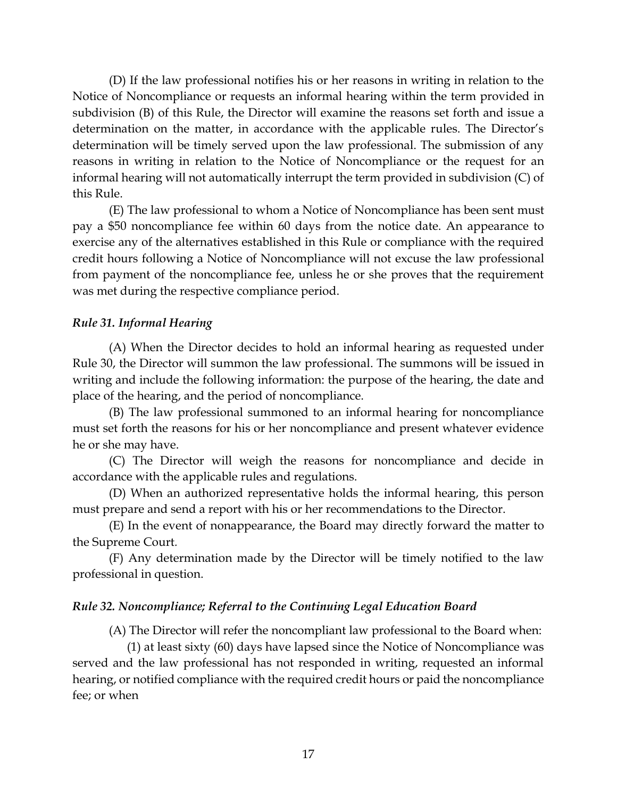(D) If the law professional notifies his or her reasons in writing in relation to the Notice of Noncompliance or requests an informal hearing within the term provided in subdivision (B) of this Rule, the Director will examine the reasons set forth and issue a determination on the matter, in accordance with the applicable rules. The Director's determination will be timely served upon the law professional. The submission of any reasons in writing in relation to the Notice of Noncompliance or the request for an informal hearing will not automatically interrupt the term provided in subdivision (C) of this Rule.

(E) The law professional to whom a Notice of Noncompliance has been sent must pay a \$50 noncompliance fee within 60 days from the notice date. An appearance to exercise any of the alternatives established in this Rule or compliance with the required credit hours following a Notice of Noncompliance will not excuse the law professional from payment of the noncompliance fee, unless he or she proves that the requirement was met during the respective compliance period.

## <span id="page-19-0"></span>*Rule 31. Informal Hearing*

(A) When the Director decides to hold an informal hearing as requested under Rule 30, the Director will summon the law professional. The summons will be issued in writing and include the following information: the purpose of the hearing, the date and place of the hearing, and the period of noncompliance.

(B) The law professional summoned to an informal hearing for noncompliance must set forth the reasons for his or her noncompliance and present whatever evidence he or she may have.

(C) The Director will weigh the reasons for noncompliance and decide in accordance with the applicable rules and regulations.

(D) When an authorized representative holds the informal hearing, this person must prepare and send a report with his or her recommendations to the Director.

(E) In the event of nonappearance, the Board may directly forward the matter to the Supreme Court*.*

(F) Any determination made by the Director will be timely notified to the law professional in question.

# <span id="page-19-1"></span>*Rule 32. Noncompliance; Referral to the Continuing Legal Education Board*

(A) The Director will refer the noncompliant law professional to the Board when:

(1) at least sixty (60) days have lapsed since the Notice of Noncompliance was served and the law professional has not responded in writing, requested an informal hearing, or notified compliance with the required credit hours or paid the noncompliance fee; or when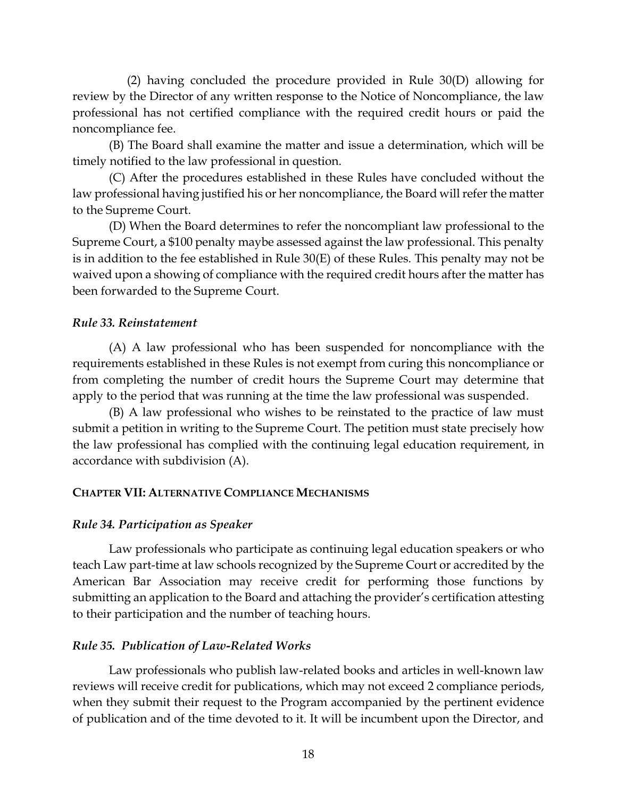(2) having concluded the procedure provided in Rule 30(D) allowing for review by the Director of any written response to the Notice of Noncompliance, the law professional has not certified compliance with the required credit hours or paid the noncompliance fee.

(B) The Board shall examine the matter and issue a determination, which will be timely notified to the law professional in question.

(C) After the procedures established in these Rules have concluded without the law professional having justified his or her noncompliance, the Board will refer the matter to the Supreme Court.

(D) When the Board determines to refer the noncompliant law professional to the Supreme Court, a \$100 penalty maybe assessed against the law professional. This penalty is in addition to the fee established in Rule 30(E) of these Rules. This penalty may not be waived upon a showing of compliance with the required credit hours after the matter has been forwarded to the Supreme Court.

## <span id="page-20-0"></span>*Rule 33. Reinstatement*

(A) A law professional who has been suspended for noncompliance with the requirements established in these Rules is not exempt from curing this noncompliance or from completing the number of credit hours the Supreme Court may determine that apply to the period that was running at the time the law professional was suspended.

(B) A law professional who wishes to be reinstated to the practice of law must submit a petition in writing to the Supreme Court. The petition must state precisely how the law professional has complied with the continuing legal education requirement, in accordance with subdivision (A).

## <span id="page-20-1"></span>**CHAPTER VII: ALTERNATIVE COMPLIANCE MECHANISMS**

## <span id="page-20-2"></span>*Rule 34. Participation as Speaker*

Law professionals who participate as continuing legal education speakers or who teach Law part-time at law schools recognized by the Supreme Court or accredited by the American Bar Association may receive credit for performing those functions by submitting an application to the Board and attaching the provider's certification attesting to their participation and the number of teaching hours.

## <span id="page-20-3"></span>*Rule 35. Publication of Law-Related Works*

Law professionals who publish law-related books and articles in well-known law reviews will receive credit for publications, which may not exceed 2 compliance periods, when they submit their request to the Program accompanied by the pertinent evidence of publication and of the time devoted to it. It will be incumbent upon the Director, and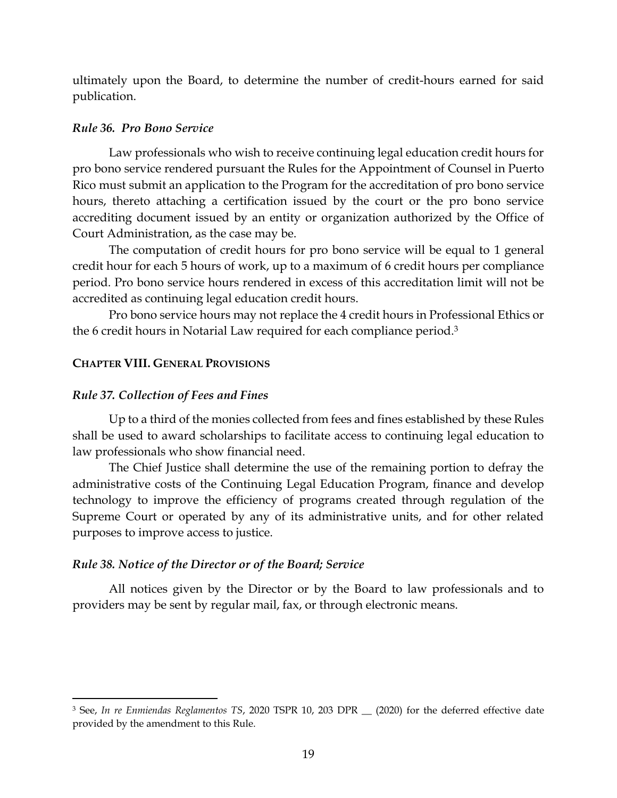ultimately upon the Board, to determine the number of credit-hours earned for said publication.

#### <span id="page-21-0"></span>*Rule 36. Pro Bono Service*

Law professionals who wish to receive continuing legal education credit hours for pro bono service rendered pursuant the Rules for the Appointment of Counsel in Puerto Rico must submit an application to the Program for the accreditation of pro bono service hours, thereto attaching a certification issued by the court or the pro bono service accrediting document issued by an entity or organization authorized by the Office of Court Administration, as the case may be.

The computation of credit hours for pro bono service will be equal to 1 general credit hour for each 5 hours of work, up to a maximum of 6 credit hours per compliance period. Pro bono service hours rendered in excess of this accreditation limit will not be accredited as continuing legal education credit hours.

Pro bono service hours may not replace the 4 credit hours in Professional Ethics or the 6 credit hours in Notarial Law required for each compliance period.<sup>3</sup>

## <span id="page-21-1"></span>**CHAPTER VIII. GENERAL PROVISIONS**

## <span id="page-21-2"></span>*Rule 37. Collection of Fees and Fines*

Up to a third of the monies collected from fees and fines established by these Rules shall be used to award scholarships to facilitate access to continuing legal education to law professionals who show financial need.

The Chief Justice shall determine the use of the remaining portion to defray the administrative costs of the Continuing Legal Education Program, finance and develop technology to improve the efficiency of programs created through regulation of the Supreme Court or operated by any of its administrative units, and for other related purposes to improve access to justice.

## <span id="page-21-3"></span>*Rule 38. Notice of the Director or of the Board; Service*

All notices given by the Director or by the Board to law professionals and to providers may be sent by regular mail, fax, or through electronic means.

<sup>&</sup>lt;sup>3</sup> See, In re Enmiendas Reglamentos TS, 2020 TSPR 10, 203 DPR (2020) for the deferred effective date provided by the amendment to this Rule.